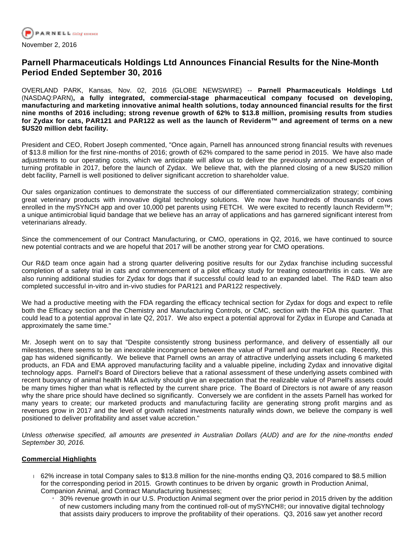

# **Parnell Pharmaceuticals Holdings Ltd Announces Financial Results for the Nine-Month Period Ended September 30, 2016**

OVERLAND PARK, Kansas, Nov. 02, 2016 (GLOBE NEWSWIRE) -- **Parnell Pharmaceuticals Holdings Ltd**  (NASDAQ:PARN)**, a fully integrated, commercial-stage pharmaceutical company focused on developing, manufacturing and marketing innovative animal health solutions, today announced financial results for the first nine months of 2016 including; strong revenue growth of 62% to \$13.8 million, promising results from studies for Zydax for cats, PAR121 and PAR122 as well as the launch of Reviderm™ and agreement of terms on a new \$US20 million debt facility.**

President and CEO, Robert Joseph commented, "Once again, Parnell has announced strong financial results with revenues of \$13.8 million for the first nine-months of 2016; growth of 62% compared to the same period in 2015. We have also made adjustments to our operating costs, which we anticipate will allow us to deliver the previously announced expectation of turning profitable in 2017, before the launch of Zydax. We believe that, with the planned closing of a new \$US20 million debt facility, Parnell is well positioned to deliver significant accretion to shareholder value.

Our sales organization continues to demonstrate the success of our differentiated commercialization strategy; combining great veterinary products with innovative digital technology solutions. We now have hundreds of thousands of cows enrolled in the mySYNCH app and over 10,000 pet parents using FETCH. We were excited to recently launch Reviderm™; a unique antimicrobial liquid bandage that we believe has an array of applications and has garnered significant interest from veterinarians already.

Since the commencement of our Contract Manufacturing, or CMO, operations in Q2, 2016, we have continued to source new potential contracts and we are hopeful that 2017 will be another strong year for CMO operations.

Our R&D team once again had a strong quarter delivering positive results for our Zydax franchise including successful completion of a safety trial in cats and commencement of a pilot efficacy study for treating osteoarthritis in cats. We are also running additional studies for Zydax for dogs that if successful could lead to an expanded label. The R&D team also completed successful in-vitro and in-vivo studies for PAR121 and PAR122 respectively.

We had a productive meeting with the FDA regarding the efficacy technical section for Zydax for dogs and expect to refile both the Efficacy section and the Chemistry and Manufacturing Controls, or CMC, section with the FDA this quarter. That could lead to a potential approval in late Q2, 2017. We also expect a potential approval for Zydax in Europe and Canada at approximately the same time."

Mr. Joseph went on to say that "Despite consistently strong business performance, and delivery of essentially all our milestones, there seems to be an inexorable incongruence between the value of Parnell and our market cap. Recently, this gap has widened significantly. We believe that Parnell owns an array of attractive underlying assets including 6 marketed products, an FDA and EMA approved manufacturing facility and a valuable pipeline, including Zydax and innovative digital technology apps. Parnell's Board of Directors believe that a rational assessment of these underlying assets combined with recent buoyancy of animal health M&A activity should give an expectation that the realizable value of Parnell's assets could be many times higher than what is reflected by the current share price. The Board of Directors is not aware of any reason why the share price should have declined so significantly. Conversely we are confident in the assets Parnell has worked for many years to create; our marketed products and manufacturing facility are generating strong profit margins and as revenues grow in 2017 and the level of growth related investments naturally winds down, we believe the company is well positioned to deliver profitability and asset value accretion."

Unless otherwise specified, all amounts are presented in Australian Dollars (AUD) and are for the nine-months ended September 30, 2016.

### **Commercial Highlights**

- 62% increase in total Company sales to \$13.8 million for the nine-months ending Q3, 2016 compared to \$8.5 million for the corresponding period in 2015. Growth continues to be driven by organic growth in Production Animal, Companion Animal, and Contract Manufacturing businesses;
	- 130% revenue growth in our U.S. Production Animal segment over the prior period in 2015 driven by the addition of new customers including many from the continued roll-out of mySYNCH®; our innovative digital technology that assists dairy producers to improve the profitability of their operations. Q3, 2016 saw yet another record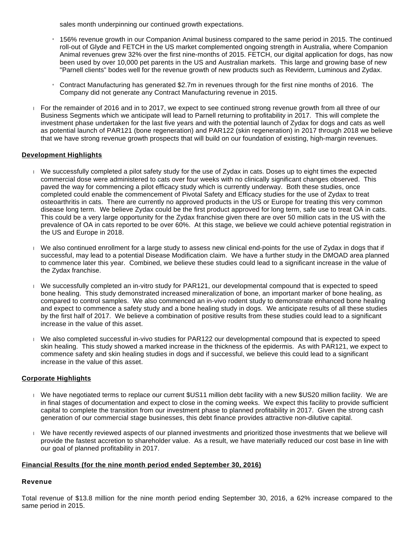sales month underpinning our continued growth expectations.

- » 156% revenue growth in our Companion Animal business compared to the same period in 2015. The continued roll-out of Glyde and FETCH in the US market complemented ongoing strength in Australia, where Companion Animal revenues grew 32% over the first nine-months of 2015. FETCH, our digital application for dogs, has now been used by over 10,000 pet parents in the US and Australian markets. This large and growing base of new "Parnell clients" bodes well for the revenue growth of new products such as Reviderm, Luminous and Zydax.
- Contract Manufacturing has generated  $$2.7m$  in revenues through for the first nine months of 2016. The Company did not generate any Contract Manufacturing revenue in 2015.
- For the remainder of 2016 and in to 2017, we expect to see continued strong revenue growth from all three of our Business Segments which we anticipate will lead to Parnell returning to profitability in 2017. This will complete the investment phase undertaken for the last five years and with the potential launch of Zydax for dogs and cats as well as potential launch of PAR121 (bone regeneration) and PAR122 (skin regeneration) in 2017 through 2018 we believe that we have strong revenue growth prospects that will build on our foundation of existing, high-margin revenues.

## **Development Highlights**

- We successfully completed a pilot safety study for the use of Zydax in cats. Doses up to eight times the expected commercial dose were administered to cats over four weeks with no clinically significant changes observed. This paved the way for commencing a pilot efficacy study which is currently underway. Both these studies, once completed could enable the commencement of Pivotal Safety and Efficacy studies for the use of Zydax to treat osteoarthritis in cats. There are currently no approved products in the US or Europe for treating this very common disease long term. We believe Zydax could be the first product approved for long term, safe use to treat OA in cats. This could be a very large opportunity for the Zydax franchise given there are over 50 million cats in the US with the prevalence of OA in cats reported to be over 60%. At this stage, we believe we could achieve potential registration in the US and Europe in 2018.
- We also continued enrollment for a large study to assess new clinical end-points for the use of Zydax in dogs that if successful, may lead to a potential Disease Modification claim. We have a further study in the DMOAD area planned to commence later this year. Combined, we believe these studies could lead to a significant increase in the value of the Zydax franchise.
- We successfully completed an in-vitro study for PAR121, our developmental compound that is expected to speed bone healing. This study demonstrated increased mineralization of bone, an important marker of bone healing, as compared to control samples. We also commenced an in-vivo rodent study to demonstrate enhanced bone healing and expect to commence a safety study and a bone healing study in dogs. We anticipate results of all these studies by the first half of 2017. We believe a combination of positive results from these studies could lead to a significant increase in the value of this asset.
- We also completed successful in-vivo studies for PAR122 our developmental compound that is expected to speed skin healing. This study showed a marked increase in the thickness of the epidermis. As with PAR121, we expect to commence safety and skin healing studies in dogs and if successful, we believe this could lead to a significant increase in the value of this asset.

### **Corporate Highlights**

- We have negotiated terms to replace our current \$US11 million debt facility with a new \$US20 million facility. We are in final stages of documentation and expect to close in the coming weeks. We expect this facility to provide sufficient capital to complete the transition from our investment phase to planned profitability in 2017. Given the strong cash generation of our commercial stage businesses, this debt finance provides attractive non-dilutive capital.
- We have recently reviewed aspects of our planned investments and prioritized those investments that we believe will provide the fastest accretion to shareholder value. As a result, we have materially reduced our cost base in line with our goal of planned profitability in 2017.

### **Financial Results (for the nine month period ended September 30, 2016)**

### **Revenue**

Total revenue of \$13.8 million for the nine month period ending September 30, 2016, a 62% increase compared to the same period in 2015.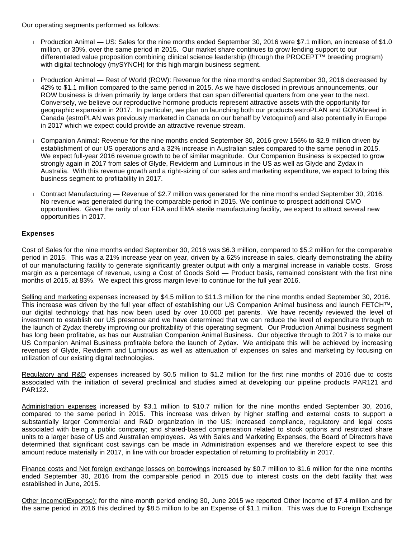Our operating segments performed as follows:

- Production Animal US: Sales for the nine months ended September 30, 2016 were \$7.1 million, an increase of \$1.0 million, or 30%, over the same period in 2015. Our market share continues to grow lending support to our differentiated value proposition combining clinical science leadership (through the PROCEPT™ breeding program) with digital technology (mySYNCH) for this high margin business segment.
- Production Animal Rest of World (ROW): Revenue for the nine months ended September 30, 2016 decreased by 42% to \$1.1 million compared to the same period in 2015. As we have disclosed in previous announcements, our ROW business is driven primarily by large orders that can span differential quarters from one year to the next. Conversely, we believe our reproductive hormone products represent attractive assets with the opportunity for geographic expansion in 2017. In particular, we plan on launching both our products estroPLAN and GONAbreed in Canada (estroPLAN was previously marketed in Canada on our behalf by Vetoquinol) and also potentially in Europe in 2017 which we expect could provide an attractive revenue stream.
- Companion Animal: Revenue for the nine months ended September 30, 2016 grew 156% to \$2.9 million driven by establishment of our US operations and a 32% increase in Australian sales compared to the same period in 2015. We expect full-year 2016 revenue growth to be of similar magnitude. Our Companion Business is expected to grow strongly again in 2017 from sales of Glyde, Reviderm and Luminous in the US as well as Glyde and Zydax in Australia. With this revenue growth and a right-sizing of our sales and marketing expenditure, we expect to bring this business segment to profitability in 2017.
- **Contract Manufacturing Revenue of \$2.7 million was generated for the nine months ended September 30. 2016.** No revenue was generated during the comparable period in 2015. We continue to prospect additional CMO opportunities. Given the rarity of our FDA and EMA sterile manufacturing facility, we expect to attract several new opportunities in 2017.

### **Expenses**

Cost of Sales for the nine months ended September 30, 2016 was \$6.3 million, compared to \$5.2 million for the comparable period in 2015. This was a 21% increase year on year, driven by a 62% increase in sales, clearly demonstrating the ability of our manufacturing facility to generate significantly greater output with only a marginal increase in variable costs. Gross margin as a percentage of revenue, using a Cost of Goods Sold — Product basis, remained consistent with the first nine months of 2015, at 83%. We expect this gross margin level to continue for the full year 2016.

Selling and marketing expenses increased by \$4.5 million to \$11.3 million for the nine months ended September 30, 2016. This increase was driven by the full year effect of establishing our US Companion Animal business and launch FETCH™, our digital technology that has now been used by over 10,000 pet parents. We have recently reviewed the level of investment to establish our US presence and we have determined that we can reduce the level of expenditure through to the launch of Zydax thereby improving our profitability of this operating segment. Our Production Animal business segment has long been profitable, as has our Australian Companion Animal Business. Our objective through to 2017 is to make our US Companion Animal Business profitable before the launch of Zydax. We anticipate this will be achieved by increasing revenues of Glyde, Reviderm and Luminous as well as attenuation of expenses on sales and marketing by focusing on utilization of our existing digital technologies.

Regulatory and R&D expenses increased by \$0.5 million to \$1.2 million for the first nine months of 2016 due to costs associated with the initiation of several preclinical and studies aimed at developing our pipeline products PAR121 and PAR122.

Administration expenses increased by \$3.1 million to \$10.7 million for the nine months ended September 30, 2016, compared to the same period in 2015. This increase was driven by higher staffing and external costs to support a substantially larger Commercial and R&D organization in the US; increased compliance, regulatory and legal costs associated with being a public company; and shared-based compensation related to stock options and restricted share units to a larger base of US and Australian employees. As with Sales and Marketing Expenses, the Board of Directors have determined that significant cost savings can be made in Administration expenses and we therefore expect to see this amount reduce materially in 2017, in line with our broader expectation of returning to profitability in 2017.

Finance costs and Net foreign exchange losses on borrowings increased by \$0.7 million to \$1.6 million for the nine months ended September 30, 2016 from the comparable period in 2015 due to interest costs on the debt facility that was established in June, 2015.

Other Income/(Expense): for the nine-month period ending 30, June 2015 we reported Other Income of \$7.4 million and for the same period in 2016 this declined by \$8.5 million to be an Expense of \$1.1 million. This was due to Foreign Exchange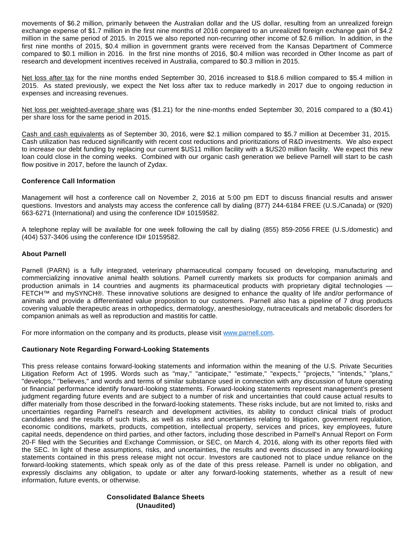movements of \$6.2 million, primarily between the Australian dollar and the US dollar, resulting from an unrealized foreign exchange expense of \$1.7 million in the first nine months of 2016 compared to an unrealized foreign exchange gain of \$4.2 million in the same period of 2015. In 2015 we also reported non-recurring other income of \$2.6 million. In addition, in the first nine months of 2015, \$0.4 million in government grants were received from the Kansas Department of Commerce compared to \$0.1 million in 2016. In the first nine months of 2016, \$0.4 million was recorded in Other Income as part of research and development incentives received in Australia, compared to \$0.3 million in 2015.

Net loss after tax for the nine months ended September 30, 2016 increased to \$18.6 million compared to \$5.4 million in 2015. As stated previously, we expect the Net loss after tax to reduce markedly in 2017 due to ongoing reduction in expenses and increasing revenues.

Net loss per weighted-average share was (\$1.21) for the nine-months ended September 30, 2016 compared to a (\$0.41) per share loss for the same period in 2015.

Cash and cash equivalents as of September 30, 2016, were \$2.1 million compared to \$5.7 million at December 31, 2015. Cash utilization has reduced significantly with recent cost reductions and prioritizations of R&D investments. We also expect to increase our debt funding by replacing our current \$US11 million facility with a \$US20 million facility. We expect this new loan could close in the coming weeks. Combined with our organic cash generation we believe Parnell will start to be cash flow positive in 2017, before the launch of Zydax.

### **Conference Call Information**

Management will host a conference call on November 2, 2016 at 5:00 pm EDT to discuss financial results and answer questions. Investors and analysts may access the conference call by dialing (877) 244-6184 FREE (U.S./Canada) or (920) 663-6271 (International) and using the conference ID# 10159582.

A telephone replay will be available for one week following the call by dialing (855) 859-2056 FREE (U.S./domestic) and (404) 537-3406 using the conference ID# 10159582.

### **About Parnell**

Parnell (PARN) is a fully integrated, veterinary pharmaceutical company focused on developing, manufacturing and commercializing innovative animal health solutions. Parnell currently markets six products for companion animals and production animals in 14 countries and augments its pharmaceutical products with proprietary digital technologies FETCH™ and mySYNCH®. These innovative solutions are designed to enhance the quality of life and/or performance of animals and provide a differentiated value proposition to our customers. Parnell also has a pipeline of 7 drug products covering valuable therapeutic areas in orthopedics, dermatology, anesthesiology, nutraceuticals and metabolic disorders for companion animals as well as reproduction and mastitis for cattle.

For more information on the company and its products, please visit [www.parnell.com.](https://www.globenewswire.com/Tracker?data=QXx_VV17Tb_3F4l1FdbC46JjIQpGcF0h5PXB8b2VGAwamd0mnDE1vKxaOwq_rNnexCQEfNOO5KEFkfCKTaN-bg==)

### **Cautionary Note Regarding Forward-Looking Statements**

This press release contains forward-looking statements and information within the meaning of the U.S. Private Securities Litigation Reform Act of 1995. Words such as "may," "anticipate," "estimate," "expects," "projects," "intends," "plans," "develops," "believes," and words and terms of similar substance used in connection with any discussion of future operating or financial performance identify forward-looking statements. Forward-looking statements represent management's present judgment regarding future events and are subject to a number of risk and uncertainties that could cause actual results to differ materially from those described in the forward-looking statements. These risks include, but are not limited to, risks and uncertainties regarding Parnell's research and development activities, its ability to conduct clinical trials of product candidates and the results of such trials, as well as risks and uncertainties relating to litigation, government regulation, economic conditions, markets, products, competition, intellectual property, services and prices, key employees, future capital needs, dependence on third parties, and other factors, including those described in Parnell's Annual Report on Form 20-F filed with the Securities and Exchange Commission, or SEC, on March 4, 2016, along with its other reports filed with the SEC. In light of these assumptions, risks, and uncertainties, the results and events discussed in any forward-looking statements contained in this press release might not occur. Investors are cautioned not to place undue reliance on the forward-looking statements, which speak only as of the date of this press release. Parnell is under no obligation, and expressly disclaims any obligation, to update or alter any forward-looking statements, whether as a result of new information, future events, or otherwise.

### **Consolidated Balance Sheets (Unaudited)**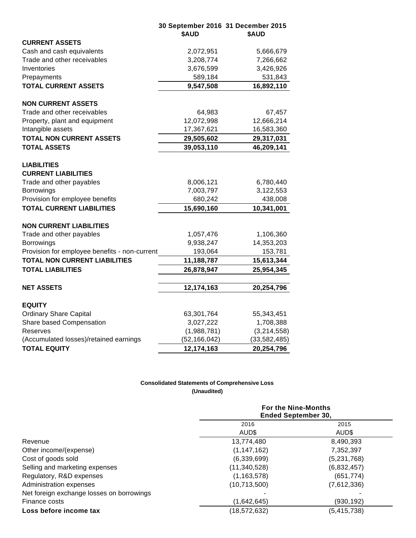|                                                  | 30 September 2016 31 December 2015<br>\$AUD | \$AUD          |
|--------------------------------------------------|---------------------------------------------|----------------|
| <b>CURRENT ASSETS</b>                            |                                             |                |
| Cash and cash equivalents                        | 2,072,951                                   | 5,666,679      |
| Trade and other receivables                      | 3,208,774                                   | 7,266,662      |
| Inventories                                      | 3,676,599                                   | 3,426,926      |
| Prepayments                                      | 589,184                                     | 531,843        |
| <b>TOTAL CURRENT ASSETS</b>                      | 9,547,508                                   | 16,892,110     |
| <b>NON CURRENT ASSETS</b>                        |                                             |                |
| Trade and other receivables                      | 64,983                                      | 67,457         |
| Property, plant and equipment                    | 12,072,998                                  | 12,666,214     |
| Intangible assets                                | 17,367,621                                  | 16,583,360     |
| <b>TOTAL NON CURRENT ASSETS</b>                  | 29,505,602                                  | 29,317,031     |
| <b>TOTAL ASSETS</b>                              | 39,053,110                                  | 46,209,141     |
| <b>LIABILITIES</b><br><b>CURRENT LIABILITIES</b> |                                             |                |
| Trade and other payables                         | 8,006,121                                   | 6,780,440      |
| <b>Borrowings</b>                                | 7,003,797                                   | 3,122,553      |
| Provision for employee benefits                  | 680,242                                     | 438,008        |
| <b>TOTAL CURRENT LIABILITIES</b>                 | 15,690,160                                  | 10,341,001     |
| <b>NON CURRENT LIABILITIES</b>                   |                                             |                |
| Trade and other payables                         | 1,057,476                                   | 1,106,360      |
| Borrowings                                       | 9,938,247                                   | 14,353,203     |
| Provision for employee benefits - non-current    | 193,064                                     | 153,781        |
| <b>TOTAL NON CURRENT LIABILITIES</b>             | 11,188,787                                  | 15,613,344     |
| <b>TOTAL LIABILITIES</b>                         | 26,878,947                                  | 25,954,345     |
|                                                  |                                             |                |
| <b>NET ASSETS</b>                                | 12,174,163                                  | 20,254,796     |
| <b>EQUITY</b>                                    |                                             |                |
| <b>Ordinary Share Capital</b>                    | 63,301,764                                  | 55,343,451     |
| Share based Compensation                         | 3,027,222                                   | 1,708,388      |
| Reserves                                         | (1,988,781)                                 | (3,214,558)    |
| (Accumulated losses)/retained earnings           | (52, 166, 042)                              | (33, 582, 485) |
| <b>TOTAL EQUITY</b>                              | 12,174,163                                  | 20,254,796     |

## **Consolidated Statements of Comprehensive Loss (Unaudited)**

|                                           | <b>For the Nine-Months</b><br><b>Ended September 30,</b> |               |
|-------------------------------------------|----------------------------------------------------------|---------------|
|                                           | 2016                                                     | 2015          |
|                                           | AUD\$                                                    | AUD\$         |
| Revenue                                   | 13,774,480                                               | 8,490,393     |
| Other income/(expense)                    | (1, 147, 162)                                            | 7,352,397     |
| Cost of goods sold                        | (6,339,699)                                              | (5,231,768)   |
| Selling and marketing expenses            | (11, 340, 528)                                           | (6,832,457)   |
| Regulatory, R&D expenses                  | (1, 163, 578)                                            | (651, 774)    |
| Administration expenses                   | (10,713,500)                                             | (7,612,336)   |
| Net foreign exchange losses on borrowings |                                                          |               |
| Finance costs                             | (1,642,645)                                              | (930, 192)    |
| Loss before income tax                    | (18, 572, 632)                                           | (5, 415, 738) |